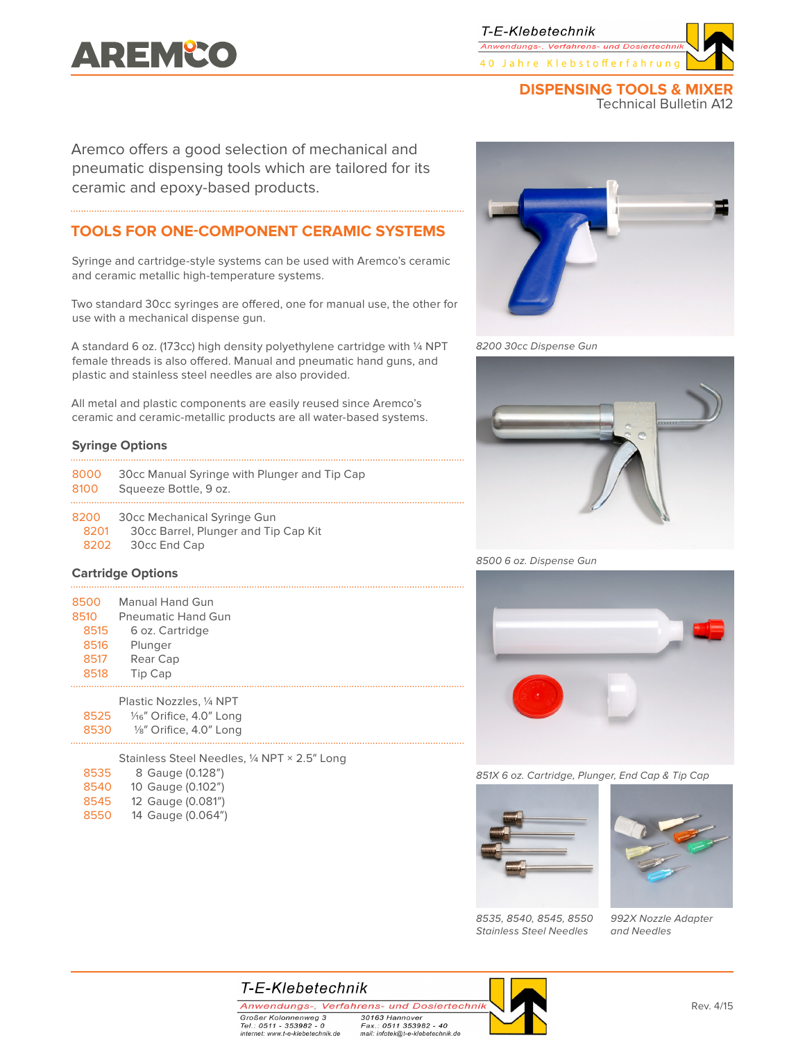# **AREMºCO**

T-E-Klebetechnik Anwendungs-, Verfahrens- und Dosiertechr. 40 Jahre Klebstofferfahrung

#### **DISPENSING TOOLS & MIXER** Technical Bulletin A12

Aremco offers a good selection of mechanical and pneumatic dispensing tools which are tailored for its ceramic and epoxy-based products.

## **TOOLS FOR ONE-COMPONENT CERAMIC SYSTEMS**

Syringe and cartridge-style systems can be used with Aremco's ceramic and ceramic metallic high-temperature systems.

Two standard 30cc syringes are offered, one for manual use, the other for use with a mechanical dispense gun.

A standard 6 oz. (173cc) high density polyethylene cartridge with ¼ NPT female threads is also offered. Manual and pneumatic hand guns, and plastic and stainless steel needles are also provided.

All metal and plastic components are easily reused since Aremco's ceramic and ceramic-metallic products are all water-based systems.

#### **Syringe Options**

| 8500 | <b>Manual Hand Gun</b>    |
|------|---------------------------|
| 8510 | <b>Pneumatic Hand Gun</b> |
| 8515 | 6 oz. Cartridge           |
| 8516 | Plunger                   |
| 8517 | Rear Cap                  |
| 8518 | Tip Cap                   |
|      |                           |

|      | Plastic Nozzles, 1/4 NPT              |  |  |
|------|---------------------------------------|--|--|
| 8525 | 1/ <sub>16</sub> " Orifice, 4.0" Long |  |  |
| 8530 | 1/8" Orifice, 4.0" Long               |  |  |

Stainless Steel Needles, ¼ NPT × 2.5" Long 8 Gauge (0.128") 10 Gauge (0.102") 12 Gauge (0.081") 14 Gauge (0.064")



8200 30cc Dispense Gun



8500 6 oz. Dispense Gun



851X 6 oz. Cartridge, Plunger, End Cap & Tip Cap



8535, 8540, 8545, 8550 Stainless Steel Needles



992X Nozzle Adapter and Needles

T-E-Klebetechnik

internet: www.t-e-klebetechnik.de

Anwendungs-, Verfahrens- und Dosiertechnik Großer Kolonnenweg 3<br>Tel.: 0511 - 353982 - 0 30163 Hannover

Fax.: 0511 353982 - 40 mail: infotek@t-e-klebetechnik.de